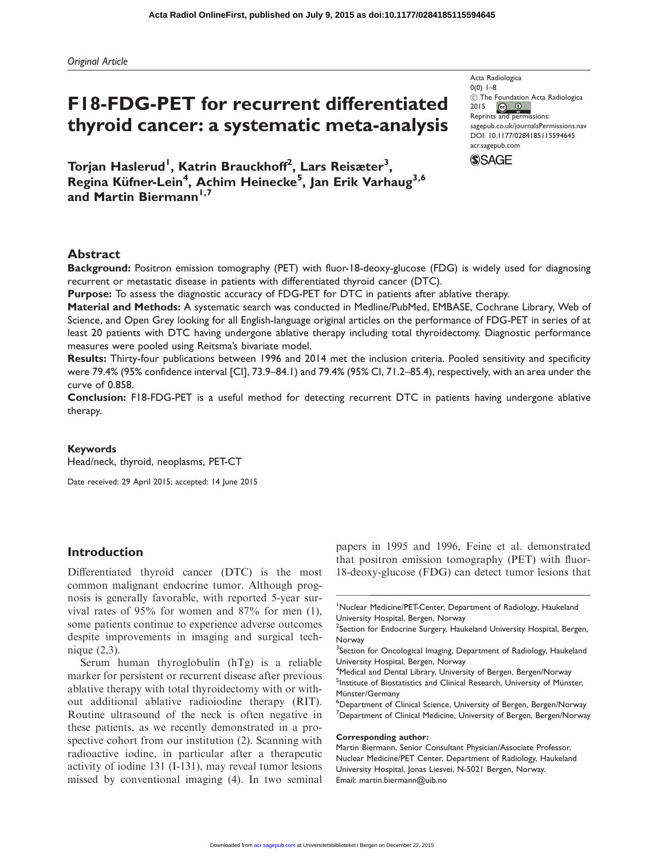# F18-FDG-PET for recurrent differentiated thyroid cancer: a systematic meta-analysis

Torjan Haslerud<sup>1</sup>, Katrin Brauckhoff<sup>2</sup>, Lars Reisæter<sup>3</sup>, Regina Küfner-Lein<sup>4</sup>, Achim Heinecke<sup>5</sup>, Jan Erik Varhaug<sup>3,6</sup> and Martin Biermann<sup>1,7</sup>

Acta Radiologica  $0(0)$   $1-8$  $\circled{c}$  The Foundation Acta Radiologica  $2015$   $\bigcirc$   $\bigcirc$ Reprints and permissions: sagepub.co.uk/journalsPermissions.nav DOI: 10.1177/0284185115594645 acr.sagepub.com



## Abstract

Background: Positron emission tomography (PET) with fluor-18-deoxy-glucose (FDG) is widely used for diagnosing recurrent or metastatic disease in patients with differentiated thyroid cancer (DTC).

Purpose: To assess the diagnostic accuracy of FDG-PET for DTC in patients after ablative therapy.

Material and Methods: A systematic search was conducted in Medline/PubMed, EMBASE, Cochrane Library, Web of Science, and Open Grey looking for all English-language original articles on the performance of FDG-PET in series of at least 20 patients with DTC having undergone ablative therapy including total thyroidectomy. Diagnostic performance measures were pooled using Reitsma's bivariate model.

Results: Thirty-four publications between 1996 and 2014 met the inclusion criteria. Pooled sensitivity and specificity were 79.4% (95% confidence interval [CI], 73.9–84.1) and 79.4% (95% CI, 71.2–85.4), respectively, with an area under the curve of 0.858.

Conclusion: F18-FDG-PET is a useful method for detecting recurrent DTC in patients having undergone ablative therapy.

### Keywords

Head/neck, thyroid, neoplasms, PET-CT

Date received: 29 April 2015; accepted: 14 June 2015

## Introduction

Differentiated thyroid cancer (DTC) is the most common malignant endocrine tumor. Although prognosis is generally favorable, with reported 5-year survival rates of 95% for women and 87% for men (1), some patients continue to experience adverse outcomes despite improvements in imaging and surgical technique (2,3).

Serum human thyroglobulin (hTg) is a reliable marker for persistent or recurrent disease after previous ablative therapy with total thyroidectomy with or without additional ablative radioiodine therapy (RIT). Routine ultrasound of the neck is often negative in these patients, as we recently demonstrated in a prospective cohort from our institution (2). Scanning with radioactive iodine, in particular after a therapeutic activity of iodine 131 (I-131), may reveal tumor lesions missed by conventional imaging (4). In two seminal

papers in 1995 and 1996, Feine et al. demonstrated that positron emission tomography (PET) with fluor-18-deoxy-glucose (FDG) can detect tumor lesions that

6 Department of Clinical Science, University of Bergen, Bergen/Norway <sup>7</sup>Department of Clinical Medicine, University of Bergen, Bergen/Norway

#### Corresponding author:

<sup>&</sup>lt;sup>1</sup>Nuclear Medicine/PET-Center, Department of Radiology, Haukeland University Hospital, Bergen, Norway

 $^{2}$ Section for Endocrine Surgery, Haukeland University Hospital, Bergen, Norway

<sup>&</sup>lt;sup>3</sup>Section for Oncological Imaging, Department of Radiology, Haukeland University Hospital, Bergen, Norway

<sup>&</sup>lt;sup>4</sup>Medical and Dental Library, University of Bergen, Bergen/Norway <sup>5</sup>Institute of Biostatistics and Clinical Research, University of Münster, Münster/Germany

Martin Biermann, Senior Consultant Physician/Associate Professor, Nuclear Medicine/PET Center, Department of Radiology, Haukeland University Hospital, Jonas Liesvei, N-5021 Bergen, Norway. Email: martin.biermann@uib.no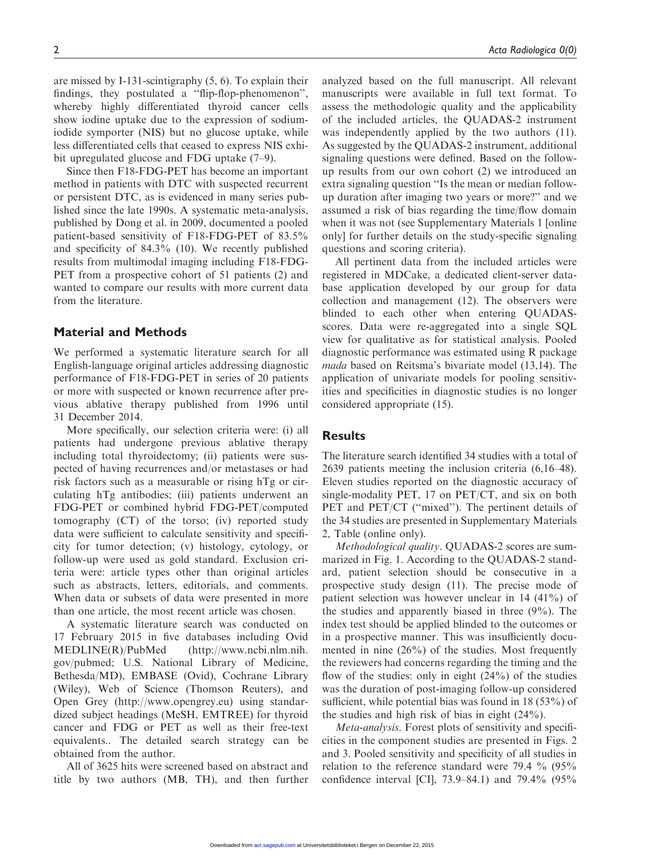are missed by I-131-scintigraphy (5, 6). To explain their findings, they postulated a ''flip-flop-phenomenon'', whereby highly differentiated thyroid cancer cells show iodine uptake due to the expression of sodiumiodide symporter (NIS) but no glucose uptake, while less differentiated cells that ceased to express NIS exhibit upregulated glucose and FDG uptake (7–9).

Since then F18-FDG-PET has become an important method in patients with DTC with suspected recurrent or persistent DTC, as is evidenced in many series published since the late 1990s. A systematic meta-analysis, published by Dong et al. in 2009, documented a pooled patient-based sensitivity of F18-FDG-PET of 83.5% and specificity of 84.3% (10). We recently published results from multimodal imaging including F18-FDG-PET from a prospective cohort of 51 patients (2) and wanted to compare our results with more current data from the literature.

## Material and Methods

We performed a systematic literature search for all English-language original articles addressing diagnostic performance of F18-FDG-PET in series of 20 patients or more with suspected or known recurrence after previous ablative therapy published from 1996 until 31 December 2014.

More specifically, our selection criteria were: (i) all patients had undergone previous ablative therapy including total thyroidectomy; (ii) patients were suspected of having recurrences and/or metastases or had risk factors such as a measurable or rising hTg or circulating hTg antibodies; (iii) patients underwent an FDG-PET or combined hybrid FDG-PET/computed tomography (CT) of the torso; (iv) reported study data were sufficient to calculate sensitivity and specificity for tumor detection; (v) histology, cytology, or follow-up were used as gold standard. Exclusion criteria were: article types other than original articles such as abstracts, letters, editorials, and comments. When data or subsets of data were presented in more than one article, the most recent article was chosen.

A systematic literature search was conducted on 17 February 2015 in five databases including Ovid MEDLINE(R)/PubMed [\(http://www.ncbi.nlm.nih.](http://www.ncbi.nlm.nih.gov/pubmed) [gov/pubmed;](http://www.ncbi.nlm.nih.gov/pubmed) U.S. National Library of Medicine, Bethesda/MD), EMBASE (Ovid), Cochrane Library (Wiley), Web of Science (Thomson Reuters), and Open Grey [\(http://www.opengrey.eu\)](http://www.opengrey.eu) using standardized subject headings (MeSH, EMTREE) for thyroid cancer and FDG or PET as well as their free-text equivalents.. The detailed search strategy can be obtained from the author.

All of 3625 hits were screened based on abstract and title by two authors (MB, TH), and then further

analyzed based on the full manuscript. All relevant manuscripts were available in full text format. To assess the methodologic quality and the applicability of the included articles, the QUADAS-2 instrument was independently applied by the two authors (11). As suggested by the QUADAS-2 instrument, additional signaling questions were defined. Based on the followup results from our own cohort (2) we introduced an extra signaling question ''Is the mean or median followup duration after imaging two years or more?'' and we assumed a risk of bias regarding the time/flow domain when it was not (see Supplementary Materials 1 [online only] for further details on the study-specific signaling questions and scoring criteria).

All pertinent data from the included articles were registered in MDCake, a dedicated client-server database application developed by our group for data collection and management (12). The observers were blinded to each other when entering QUADASscores. Data were re-aggregated into a single SQL view for qualitative as for statistical analysis. Pooled diagnostic performance was estimated using R package mada based on Reitsma's bivariate model (13,14). The application of univariate models for pooling sensitivities and specificities in diagnostic studies is no longer considered appropriate (15).

## **Results**

The literature search identified 34 studies with a total of 2639 patients meeting the inclusion criteria (6,16–48). Eleven studies reported on the diagnostic accuracy of single-modality PET, 17 on PET/CT, and six on both PET and PET/CT ("mixed"). The pertinent details of the 34 studies are presented in Supplementary Materials 2, Table (online only).

Methodological quality. QUADAS-2 scores are summarized in Fig. 1. According to the QUADAS-2 standard, patient selection should be consecutive in a prospective study design (11). The precise mode of patient selection was however unclear in 14 (41%) of the studies and apparently biased in three (9%). The index test should be applied blinded to the outcomes or in a prospective manner. This was insufficiently documented in nine (26%) of the studies. Most frequently the reviewers had concerns regarding the timing and the flow of the studies: only in eight  $(24%)$  of the studies was the duration of post-imaging follow-up considered sufficient, while potential bias was found in 18 (53%) of the studies and high risk of bias in eight (24%).

Meta-analysis. Forest plots of sensitivity and specificities in the component studies are presented in Figs. 2 and 3. Pooled sensitivity and specificity of all studies in relation to the reference standard were 79.4 % (95% confidence interval [CI], 73.9–84.1) and 79.4% (95%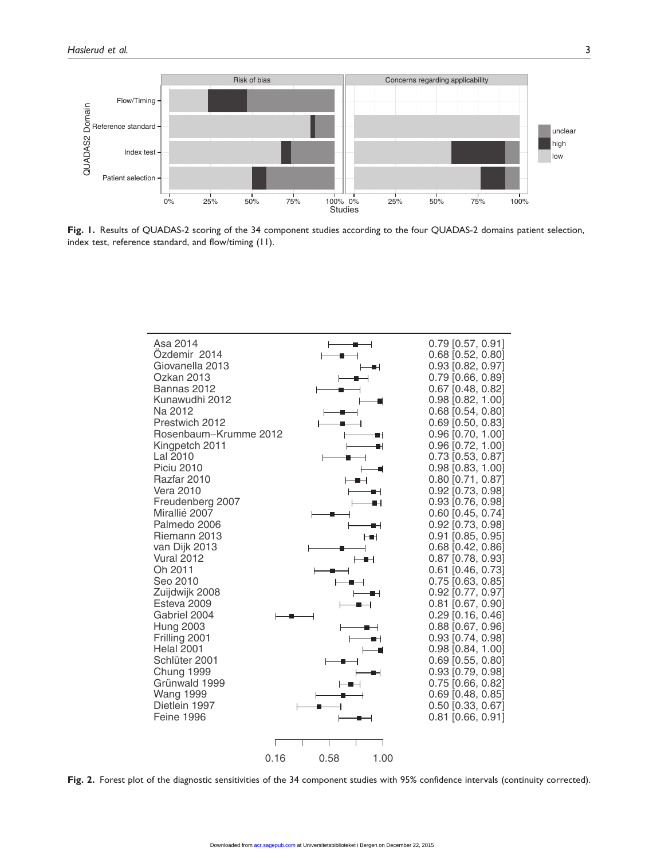

Fig. 1. Results of QUADAS-2 scoring of the 34 component studies according to the four QUADAS-2 domains patient selection, index test, reference standard, and flow/timing (11).

| Asa 2014<br>Ozdemir 2014          |                        | $0.79$ [0.57, 0.91]<br>$0.68$ [0.52, 0.80] |
|-----------------------------------|------------------------|--------------------------------------------|
| Giovanella 2013                   | ▅                      | $0.93$ [0.82, 0.97]                        |
| Ozkan 2013                        |                        | $0.79$ [0.66, 0.89]                        |
| Bannas 2012                       |                        | $0.67$ [0.48, 0.82]                        |
| Kunawudhi 2012                    | <b>Service Service</b> | $0.98$ [0.82, 1.00]                        |
| Na 2012                           |                        | $0.68$ [0.54, 0.80]                        |
| Prestwich 2012                    |                        | $0.69$ [0.50, 0.83]                        |
| Rosenbaum-Krumme 2012             | TH.                    | $0.96$ [0.70, 1.00]                        |
| Kingpetch 2011                    | H                      | $0.96$ [0.72, 1.00]                        |
| Lal 2010                          |                        | $0.73$ [0.53, 0.87]                        |
| <b>Piciu 2010</b>                 |                        | $0.98$ [0.83, 1.00]                        |
| Razfar 2010                       |                        | $0.80$ [0.71, 0.87]                        |
| Vera 2010                         |                        | $0.92$ [0.73, 0.98]                        |
| Freudenberg 2007                  |                        | $0.93$ [0.76, 0.98]                        |
| Mirallié 2007                     |                        | $0.60$ [0.45, 0.74]                        |
| Palmedo 2006                      |                        | $0.92$ [0.73, 0.98]                        |
| Riemann 2013                      | ⊢∎⊣                    | $0.91$ [0.85, 0.95]                        |
| van Dijk 2013                     |                        | $0.68$ [0.42, 0.86]                        |
| Vural 2012                        |                        | 0.87 [0.78, 0.93]                          |
| Oh 2011                           |                        | $0.61$ [0.46, 0.73]                        |
| Seo 2010                          |                        | $0.75$ [0.63, 0.85]                        |
| Zuijdwijk 2008                    | ┱                      | $0.92$ [0.77, 0.97]                        |
| Esteva 2009                       |                        | $0.81$ [0.67, 0.90]                        |
| Gabriel 2004                      |                        | $0.29$ [0.16, 0.46]                        |
| <b>Hung 2003</b>                  |                        | $0.88$ [0.67, 0.96]                        |
| Frilling 2001                     |                        | $0.93$ [0.74, 0.98]                        |
| <b>Helal 2001</b>                 |                        | $0.98$ [0.84, 1.00]                        |
| Schlüter 2001                     |                        | $0.69$ [0.55, 0.80]                        |
| Chung 1999                        | H                      | $0.93$ [0.79, 0.98]                        |
| Grünwald 1999                     |                        | $0.75$ [0.66, 0.82]                        |
| <b>Wang 1999</b><br>Dietlein 1997 |                        | $0.69$ [0.48, 0.85]<br>$0.50$ [0.33, 0.67] |
| <b>Feine 1996</b>                 |                        | $0.81$ [0.66, 0.91]                        |
|                                   |                        |                                            |
|                                   |                        |                                            |
|                                   |                        |                                            |
|                                   | 0.16<br>1.00<br>0.58   |                                            |

Fig. 2. Forest plot of the diagnostic sensitivities of the 34 component studies with 95% confidence intervals (continuity corrected).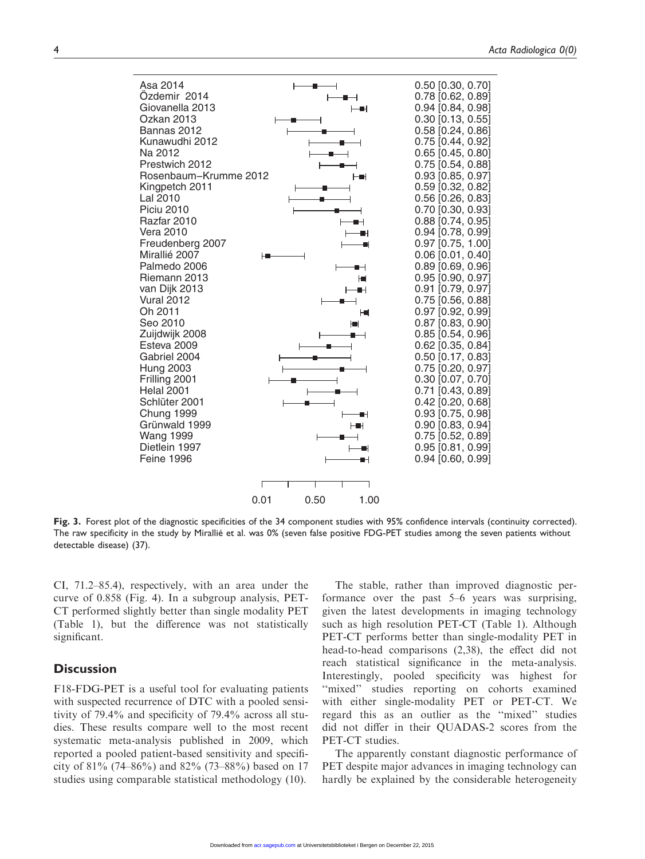| Asa 2014<br>Ozdemir 2014<br>Giovanella 2013<br>Ozkan 2013<br>Bannas 2012<br>Kunawudhi 2012<br>Na 2012<br>Prestwich 2012<br>Rosenbaum-Krumme 2012<br>Kingpetch 2011<br>Lal 2010<br><b>Piciu 2010</b><br>Razfar 2010<br>Vera 2010<br>Freudenberg 2007<br>Mirallié 2007<br>Palmedo 2006<br>Riemann 2013<br>van Dijk 2013<br><b>Vural 2012</b><br>Oh 2011<br>Seo 2010<br>Zuijdwijk 2008<br>Esteva 2009<br>Gabriel 2004<br><b>Hung 2003</b><br>Frilling 2001<br>Helal 2001<br>Schlüter 2001<br>Chung 1999<br>Grünwald 1999<br><b>Wang 1999</b><br>Dietlein 1997<br><b>Feine 1996</b> | ╺<br>H<br>н<br>Ħ۲<br>┳<br>e۲<br>H | $0.50$ [0.30, 0.70]<br>$0.78$ [0.62, 0.89]<br>$0.94$ [0.84, 0.98]<br>$0.30$ [0.13, 0.55]<br>$0.58$ [0.24, 0.86]<br>$0.75$ [0.44, 0.92]<br>$0.65$ [0.45, 0.80]<br>$0.75$ [0.54, 0.88]<br>$0.93$ [0.85, 0.97]<br>$0.59$ [0.32, 0.82]<br>$0.56$ [0.26, 0.83]<br>$0.70$ [0.30, 0.93]<br>$0.88$ [0.74, 0.95]<br>$0.94$ [0.78, 0.99]<br>$0.97$ [0.75, 1.00]<br>$0.06$ [0.01, 0.40]<br>$0.89$ [0.69, 0.96]<br>$0.95$ [0.90, 0.97]<br>$0.91$ [0.79, 0.97]<br>$0.75$ [0.56, 0.88]<br>0.97 [0.92, 0.99]<br>$0.87$ [0.83, 0.90]<br>$0.85$ [0.54, 0.96]<br>$0.62$ [0.35, 0.84]<br>$0.50$ [0.17, 0.83]<br>$0.75$ [0.20, 0.97]<br>$0.30$ [0.07, 0.70]<br>$0.71$ [0.43, 0.89]<br>$0.42$ [0.20, 0.68]<br>0.93 [0.75, 0.98]<br>0.90 [0.83, 0.94]<br>$0.75$ [0.52, 0.89]<br>$0.95$ [0.81, 0.99]<br>$0.94$ [0.60, 0.99] |
|---------------------------------------------------------------------------------------------------------------------------------------------------------------------------------------------------------------------------------------------------------------------------------------------------------------------------------------------------------------------------------------------------------------------------------------------------------------------------------------------------------------------------------------------------------------------------------|-----------------------------------|------------------------------------------------------------------------------------------------------------------------------------------------------------------------------------------------------------------------------------------------------------------------------------------------------------------------------------------------------------------------------------------------------------------------------------------------------------------------------------------------------------------------------------------------------------------------------------------------------------------------------------------------------------------------------------------------------------------------------------------------------------------------------------------------------|
|                                                                                                                                                                                                                                                                                                                                                                                                                                                                                                                                                                                 | 0.01<br>0.50<br>1.00              |                                                                                                                                                                                                                                                                                                                                                                                                                                                                                                                                                                                                                                                                                                                                                                                                      |

Fig. 3. Forest plot of the diagnostic specificities of the 34 component studies with 95% confidence intervals (continuity corrected). The raw specificity in the study by Mirallié et al. was 0% (seven false positive FDG-PET studies among the seven patients without detectable disease) (37).

CI, 71.2–85.4), respectively, with an area under the curve of 0.858 (Fig. 4). In a subgroup analysis, PET-CT performed slightly better than single modality PET (Table 1), but the difference was not statistically significant.

## **Discussion**

F18-FDG-PET is a useful tool for evaluating patients with suspected recurrence of DTC with a pooled sensitivity of 79.4% and specificity of 79.4% across all studies. These results compare well to the most recent systematic meta-analysis published in 2009, which reported a pooled patient-based sensitivity and specificity of 81% (74–86%) and 82% (73–88%) based on 17 studies using comparable statistical methodology (10).

The stable, rather than improved diagnostic performance over the past 5–6 years was surprising, given the latest developments in imaging technology such as high resolution PET-CT (Table 1). Although PET-CT performs better than single-modality PET in head-to-head comparisons (2,38), the effect did not reach statistical significance in the meta-analysis. Interestingly, pooled specificity was highest for "mixed" studies reporting on cohorts examined with either single-modality PET or PET-CT. We regard this as an outlier as the ''mixed'' studies did not differ in their QUADAS-2 scores from the PET-CT studies.

The apparently constant diagnostic performance of PET despite major advances in imaging technology can hardly be explained by the considerable heterogeneity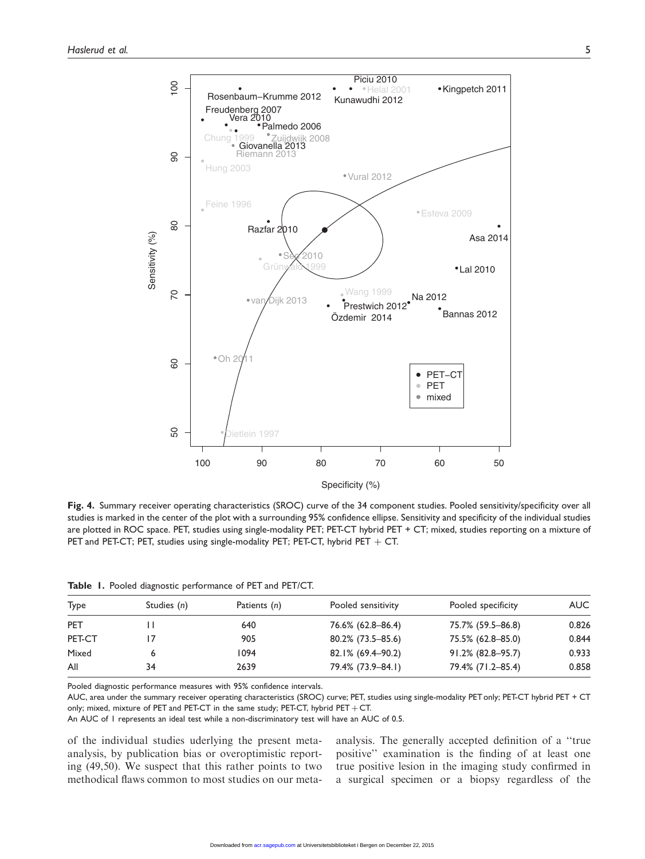

Fig. 4. Summary receiver operating characteristics (SROC) curve of the 34 component studies. Pooled sensitivity/specificity over all studies is marked in the center of the plot with a surrounding 95% confidence ellipse. Sensitivity and specificity of the individual studies are plotted in ROC space. PET, studies using single-modality PET; PET-CT hybrid PET + CT; mixed, studies reporting on a mixture of PET and PET-CT; PET, studies using single-modality PET; PET-CT, hybrid PET  $+$  CT.

|  |  |  |  | Table 1. Pooled diagnostic performance of PET and PET/CT. |  |  |  |
|--|--|--|--|-----------------------------------------------------------|--|--|--|
|--|--|--|--|-----------------------------------------------------------|--|--|--|

| Type       | Studies (n) | Patients (n) | Pooled sensitivity   | Pooled specificity   | AUC   |
|------------|-------------|--------------|----------------------|----------------------|-------|
| <b>PET</b> |             | 640          | 76.6% (62.8–86.4)    | 75.7% (59.5–86.8)    | 0.826 |
| PET-CT     |             | 905          | $80.2\%$ (73.5-85.6) | 75.5% (62.8–85.0)    | 0.844 |
| Mixed      |             | 1094         | 82.1% (69.4–90.2)    | $91.2\%$ (82.8–95.7) | 0.933 |
| All        | 34          | 2639         | 79.4% (73.9–84.1)    | 79.4% (71.2–85.4)    | 0.858 |

Pooled diagnostic performance measures with 95% confidence intervals.

AUC, area under the summary receiver operating characteristics (SROC) curve; PET, studies using single-modality PET only; PET-CT hybrid PET + CT only; mixed, mixture of PET and PET-CT in the same study; PET-CT, hybrid PET  $+$  CT.

An AUC of 1 represents an ideal test while a non-discriminatory test will have an AUC of 0.5.

of the individual studies uderlying the present metaanalysis, by publication bias or overoptimistic reporting (49,50). We suspect that this rather points to two methodical flaws common to most studies on our metaanalysis. The generally accepted definition of a ''true positive'' examination is the finding of at least one true positive lesion in the imaging study confirmed in a surgical specimen or a biopsy regardless of the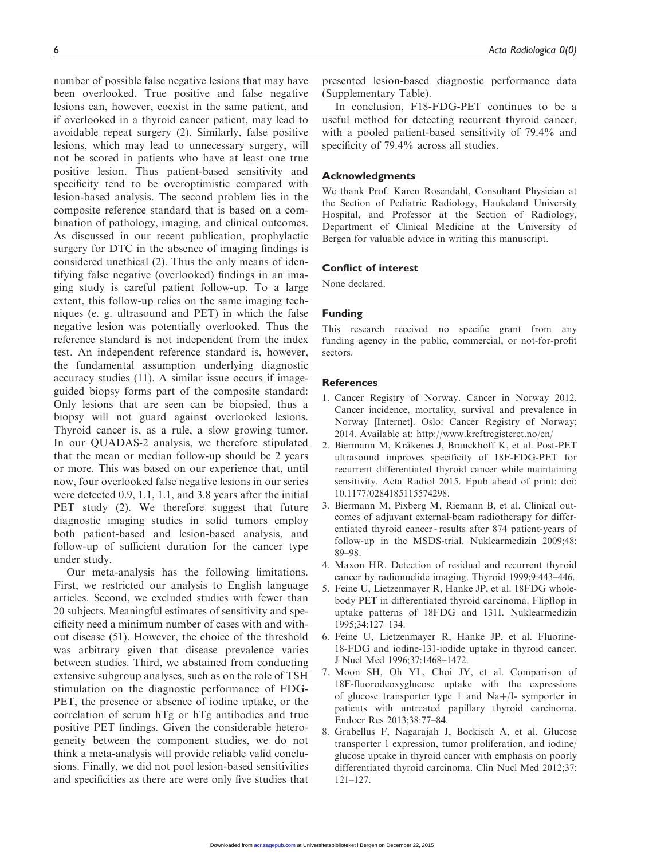number of possible false negative lesions that may have been overlooked. True positive and false negative lesions can, however, coexist in the same patient, and if overlooked in a thyroid cancer patient, may lead to avoidable repeat surgery (2). Similarly, false positive lesions, which may lead to unnecessary surgery, will not be scored in patients who have at least one true positive lesion. Thus patient-based sensitivity and specificity tend to be overoptimistic compared with lesion-based analysis. The second problem lies in the composite reference standard that is based on a combination of pathology, imaging, and clinical outcomes. As discussed in our recent publication, prophylactic surgery for DTC in the absence of imaging findings is considered unethical (2). Thus the only means of identifying false negative (overlooked) findings in an imaging study is careful patient follow-up. To a large extent, this follow-up relies on the same imaging techniques (e. g. ultrasound and PET) in which the false negative lesion was potentially overlooked. Thus the reference standard is not independent from the index test. An independent reference standard is, however, the fundamental assumption underlying diagnostic accuracy studies (11). A similar issue occurs if imageguided biopsy forms part of the composite standard: Only lesions that are seen can be biopsied, thus a biopsy will not guard against overlooked lesions. Thyroid cancer is, as a rule, a slow growing tumor. In our QUADAS-2 analysis, we therefore stipulated that the mean or median follow-up should be 2 years or more. This was based on our experience that, until now, four overlooked false negative lesions in our series were detected 0.9, 1.1, 1.1, and 3.8 years after the initial PET study (2). We therefore suggest that future diagnostic imaging studies in solid tumors employ both patient-based and lesion-based analysis, and follow-up of sufficient duration for the cancer type under study.

Our meta-analysis has the following limitations. First, we restricted our analysis to English language articles. Second, we excluded studies with fewer than 20 subjects. Meaningful estimates of sensitivity and specificity need a minimum number of cases with and without disease (51). However, the choice of the threshold was arbitrary given that disease prevalence varies between studies. Third, we abstained from conducting extensive subgroup analyses, such as on the role of TSH stimulation on the diagnostic performance of FDG-PET, the presence or absence of iodine uptake, or the correlation of serum hTg or hTg antibodies and true positive PET findings. Given the considerable heterogeneity between the component studies, we do not think a meta-analysis will provide reliable valid conclusions. Finally, we did not pool lesion-based sensitivities and specificities as there are were only five studies that

presented lesion-based diagnostic performance data (Supplementary Table).

In conclusion, F18-FDG-PET continues to be a useful method for detecting recurrent thyroid cancer, with a pooled patient-based sensitivity of 79.4% and specificity of 79.4% across all studies.

#### Acknowledgments

We thank Prof. Karen Rosendahl, Consultant Physician at the Section of Pediatric Radiology, Haukeland University Hospital, and Professor at the Section of Radiology, Department of Clinical Medicine at the University of Bergen for valuable advice in writing this manuscript.

#### Conflict of interest

None declared.

#### Funding

This research received no specific grant from any funding agency in the public, commercial, or not-for-profit sectors.

#### **References**

- 1. Cancer Registry of Norway. Cancer in Norway 2012. Cancer incidence, mortality, survival and prevalence in Norway [Internet]. Oslo: Cancer Registry of Norway; 2014. Available at:<http://www.kreftregisteret.no/en/>
- 2. Biermann M, Kråkenes J, Brauckhoff K, et al. Post-PET ultrasound improves specificity of 18F-FDG-PET for recurrent differentiated thyroid cancer while maintaining sensitivity. Acta Radiol 2015. Epub ahead of print: doi: 10.1177/0284185115574298.
- 3. Biermann M, Pixberg M, Riemann B, et al. Clinical outcomes of adjuvant external-beam radiotherapy for differentiated thyroid cancer - results after 874 patient-years of follow-up in the MSDS-trial. Nuklearmedizin 2009;48: 89–98.
- 4. Maxon HR. Detection of residual and recurrent thyroid cancer by radionuclide imaging. Thyroid 1999;9:443–446.
- 5. Feine U, Lietzenmayer R, Hanke JP, et al. 18FDG wholebody PET in differentiated thyroid carcinoma. Flipflop in uptake patterns of 18FDG and 131I. Nuklearmedizin 1995;34:127–134.
- 6. Feine U, Lietzenmayer R, Hanke JP, et al. Fluorine-18-FDG and iodine-131-iodide uptake in thyroid cancer. J Nucl Med 1996;37:1468–1472.
- 7. Moon SH, Oh YL, Choi JY, et al. Comparison of 18F-fluorodeoxyglucose uptake with the expressions of glucose transporter type 1 and  $Na+ / I$ - symporter in patients with untreated papillary thyroid carcinoma. Endocr Res 2013;38:77–84.
- 8. Grabellus F, Nagarajah J, Bockisch A, et al. Glucose transporter 1 expression, tumor proliferation, and iodine/ glucose uptake in thyroid cancer with emphasis on poorly differentiated thyroid carcinoma. Clin Nucl Med 2012;37: 121–127.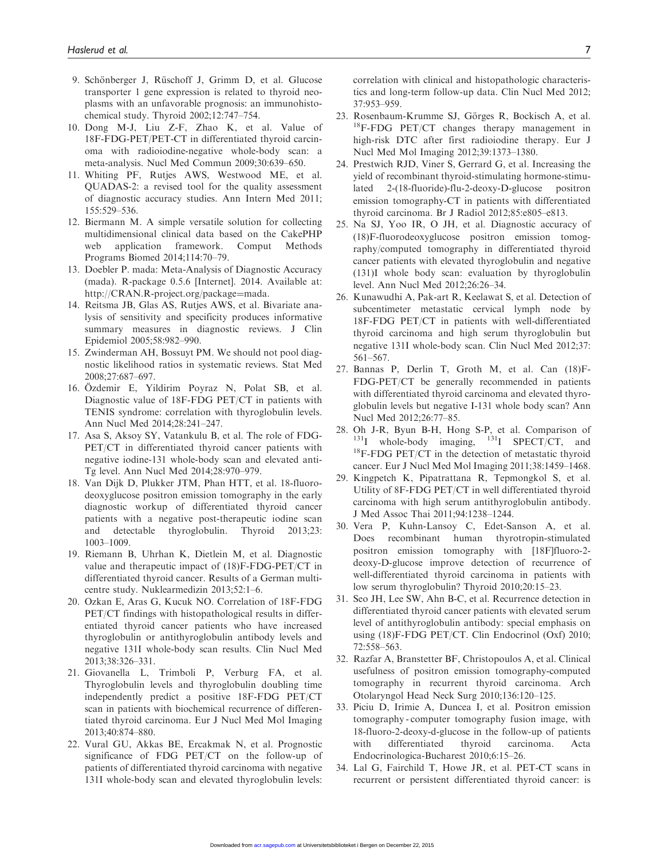- 9. Schönberger J, Rüschoff J, Grimm D, et al. Glucose transporter 1 gene expression is related to thyroid neoplasms with an unfavorable prognosis: an immunohistochemical study. Thyroid 2002;12:747–754.
- 10. Dong M-J, Liu Z-F, Zhao K, et al. Value of 18F-FDG-PET/PET-CT in differentiated thyroid carcinoma with radioiodine-negative whole-body scan: a meta-analysis. Nucl Med Commun 2009;30:639–650.
- 11. Whiting PF, Rutjes AWS, Westwood ME, et al. QUADAS-2: a revised tool for the quality assessment of diagnostic accuracy studies. Ann Intern Med 2011; 155:529–536.
- 12. Biermann M. A simple versatile solution for collecting multidimensional clinical data based on the CakePHP web application framework. Comput Methods Programs Biomed 2014;114:70–79.
- 13. Doebler P. mada: Meta-Analysis of Diagnostic Accuracy (mada). R-package 0.5.6 [Internet]. 2014. Available at: [http://CRAN.R-project.org/package](http://CRAN.R-project.org/package=mada)=[mada.](http://CRAN.R-project.org/package=mada)
- 14. Reitsma JB, Glas AS, Rutjes AWS, et al. Bivariate analysis of sensitivity and specificity produces informative summary measures in diagnostic reviews. J Clin Epidemiol 2005;58:982–990.
- 15. Zwinderman AH, Bossuyt PM. We should not pool diagnostic likelihood ratios in systematic reviews. Stat Med 2008;27:687–697.
- 16. Özdemir E, Yildirim Poyraz N, Polat SB, et al. Diagnostic value of 18F-FDG PET/CT in patients with TENIS syndrome: correlation with thyroglobulin levels. Ann Nucl Med 2014;28:241–247.
- 17. Asa S, Aksoy SY, Vatankulu B, et al. The role of FDG-PET/CT in differentiated thyroid cancer patients with negative iodine-131 whole-body scan and elevated anti-Tg level. Ann Nucl Med 2014;28:970–979.
- 18. Van Dijk D, Plukker JTM, Phan HTT, et al. 18-fluorodeoxyglucose positron emission tomography in the early diagnostic workup of differentiated thyroid cancer patients with a negative post-therapeutic iodine scan and detectable thyroglobulin. Thyroid 2013;23: 1003–1009.
- 19. Riemann B, Uhrhan K, Dietlein M, et al. Diagnostic value and therapeutic impact of (18)F-FDG-PET/CT in differentiated thyroid cancer. Results of a German multicentre study. Nuklearmedizin 2013;52:1–6.
- 20. Ozkan E, Aras G, Kucuk NO. Correlation of 18F-FDG PET/CT findings with histopathological results in differentiated thyroid cancer patients who have increased thyroglobulin or antithyroglobulin antibody levels and negative 131I whole-body scan results. Clin Nucl Med 2013;38:326–331.
- 21. Giovanella L, Trimboli P, Verburg FA, et al. Thyroglobulin levels and thyroglobulin doubling time independently predict a positive 18F-FDG PET/CT scan in patients with biochemical recurrence of differentiated thyroid carcinoma. Eur J Nucl Med Mol Imaging 2013;40:874–880.
- 22. Vural GU, Akkas BE, Ercakmak N, et al. Prognostic significance of FDG PET/CT on the follow-up of patients of differentiated thyroid carcinoma with negative 131I whole-body scan and elevated thyroglobulin levels:

correlation with clinical and histopathologic characteristics and long-term follow-up data. Clin Nucl Med 2012; 37:953–959.

- 23. Rosenbaum-Krumme SJ, Görges R, Bockisch A, et al.  $^{18}$ F-FDG PET/CT changes therapy management in high-risk DTC after first radioiodine therapy. Eur J Nucl Med Mol Imaging 2012;39:1373–1380.
- 24. Prestwich RJD, Viner S, Gerrard G, et al. Increasing the yield of recombinant thyroid-stimulating hormone-stimulated 2-(18-fluoride)-flu-2-deoxy-D-glucose positron emission tomography-CT in patients with differentiated thyroid carcinoma. Br J Radiol 2012;85:e805–e813.
- 25. Na SJ, Yoo IR, O JH, et al. Diagnostic accuracy of (18)F-fluorodeoxyglucose positron emission tomography/computed tomography in differentiated thyroid cancer patients with elevated thyroglobulin and negative (131)I whole body scan: evaluation by thyroglobulin level. Ann Nucl Med 2012;26:26–34.
- 26. Kunawudhi A, Pak-art R, Keelawat S, et al. Detection of subcentimeter metastatic cervical lymph node by 18F-FDG PET/CT in patients with well-differentiated thyroid carcinoma and high serum thyroglobulin but negative 131I whole-body scan. Clin Nucl Med 2012;37: 561–567.
- 27. Bannas P, Derlin T, Groth M, et al. Can (18)F-FDG-PET/CT be generally recommended in patients with differentiated thyroid carcinoma and elevated thyroglobulin levels but negative I-131 whole body scan? Ann
- Nucl Med 2012;26:77–85.<br>28. Oh J-R, Byun B-H, Hong S-P, et al. Comparison of <sup>131</sup>I whole-body imaging, <sup>131</sup>I SPECT/CT, and <sup>18</sup>F-FDG PET/CT in the detection of metastatic thyroid cancer. Eur J Nucl Med Mol Imaging 2011;38:1459–1468.
- 29. Kingpetch K, Pipatrattana R, Tepmongkol S, et al. Utility of 8F-FDG PET/CT in well differentiated thyroid carcinoma with high serum antithyroglobulin antibody. J Med Assoc Thai 2011;94:1238–1244.
- 30. Vera P, Kuhn-Lansoy C, Edet-Sanson A, et al. Does recombinant human thyrotropin-stimulated positron emission tomography with [18F]fluoro-2 deoxy-D-glucose improve detection of recurrence of well-differentiated thyroid carcinoma in patients with low serum thyroglobulin? Thyroid 2010;20:15–23.
- 31. Seo JH, Lee SW, Ahn B-C, et al. Recurrence detection in differentiated thyroid cancer patients with elevated serum level of antithyroglobulin antibody: special emphasis on using (18)F-FDG PET/CT. Clin Endocrinol (Oxf) 2010; 72:558–563.
- 32. Razfar A, Branstetter BF, Christopoulos A, et al. Clinical usefulness of positron emission tomography-computed tomography in recurrent thyroid carcinoma. Arch Otolaryngol Head Neck Surg 2010;136:120–125.
- 33. Piciu D, Irimie A, Duncea I, et al. Positron emission tomography - computer tomography fusion image, with 18-fluoro-2-deoxy-d-glucose in the follow-up of patients with differentiated thyroid carcinoma. Acta Endocrinologica-Bucharest 2010;6:15–26.
- 34. Lal G, Fairchild T, Howe JR, et al. PET-CT scans in recurrent or persistent differentiated thyroid cancer: is